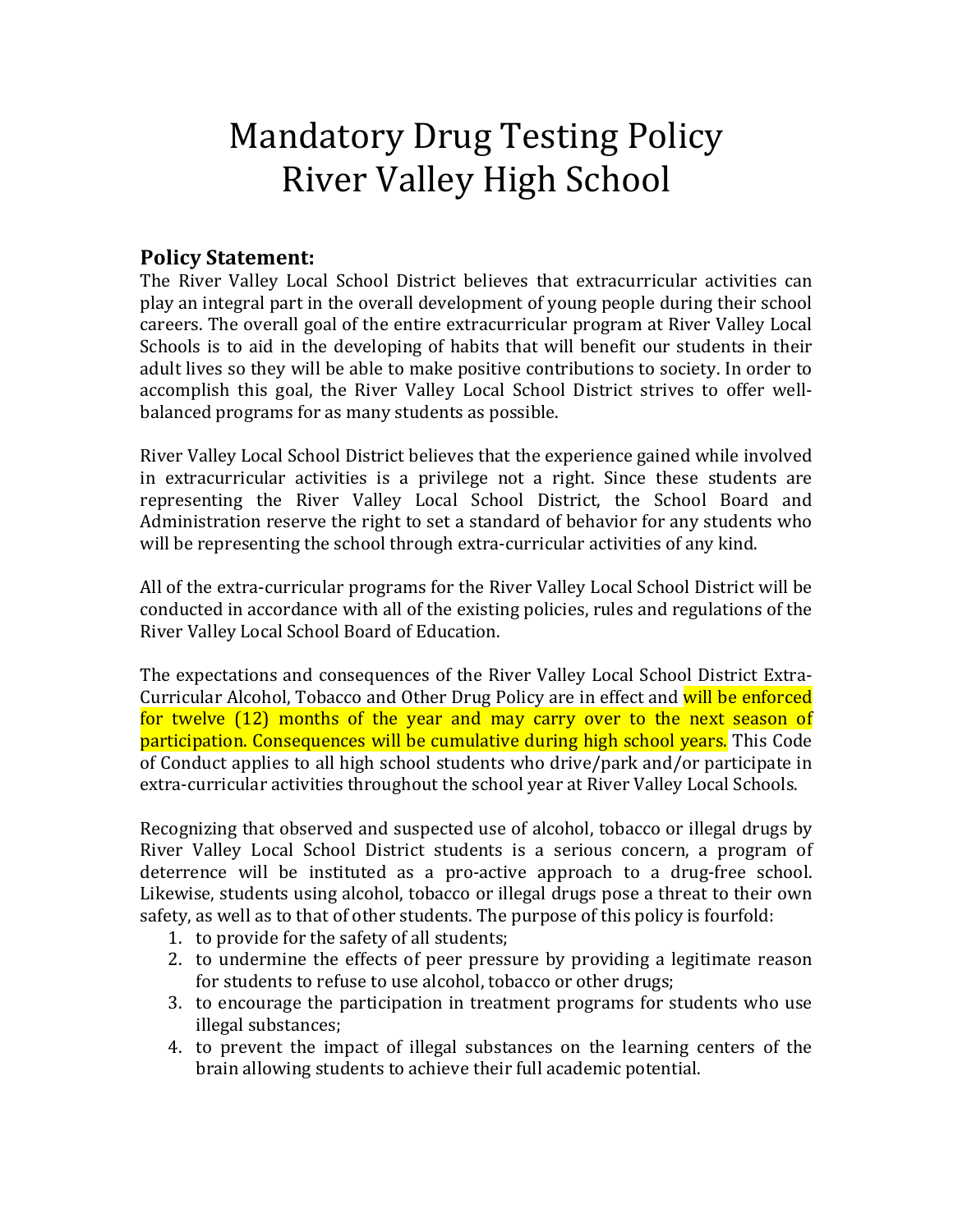# **Mandatory Drug Testing Policy River Valley High School**

# **Policy Statement:**

The River Valley Local School District believes that extracurricular activities can play an integral part in the overall development of young people during their school careers. The overall goal of the entire extracurricular program at River Valley Local Schools is to aid in the developing of habits that will benefit our students in their adult lives so they will be able to make positive contributions to society. In order to accomplish this goal, the River Valley Local School District strives to offer wellbalanced programs for as many students as possible.

River Valley Local School District believes that the experience gained while involved in extracurricular activities is a privilege not a right. Since these students are representing the River Valley Local School District, the School Board and Administration reserve the right to set a standard of behavior for any students who will be representing the school through extra-curricular activities of any kind.

All of the extra-curricular programs for the River Valley Local School District will be conducted in accordance with all of the existing policies, rules and regulations of the River Valley Local School Board of Education.

The expectations and consequences of the River Valley Local School District Extra-Curricular Alcohol, Tobacco and Other Drug Policy are in effect and will be enforced for twelve  $(12)$  months of the year and may carry over to the next season of participation. Consequences will be cumulative during high school years. This Code of Conduct applies to all high school students who drive/park and/or participate in extra-curricular activities throughout the school year at River Valley Local Schools.

Recognizing that observed and suspected use of alcohol, tobacco or illegal drugs by River Valley Local School District students is a serious concern, a program of deterrence will be instituted as a pro-active approach to a drug-free school. Likewise, students using alcohol, tobacco or illegal drugs pose a threat to their own safety, as well as to that of other students. The purpose of this policy is fourfold:

- 1. to provide for the safety of all students;
- 2. to undermine the effects of peer pressure by providing a legitimate reason for students to refuse to use alcohol, tobacco or other drugs;
- 3. to encourage the participation in treatment programs for students who use illegal substances;
- 4. to prevent the impact of illegal substances on the learning centers of the brain allowing students to achieve their full academic potential.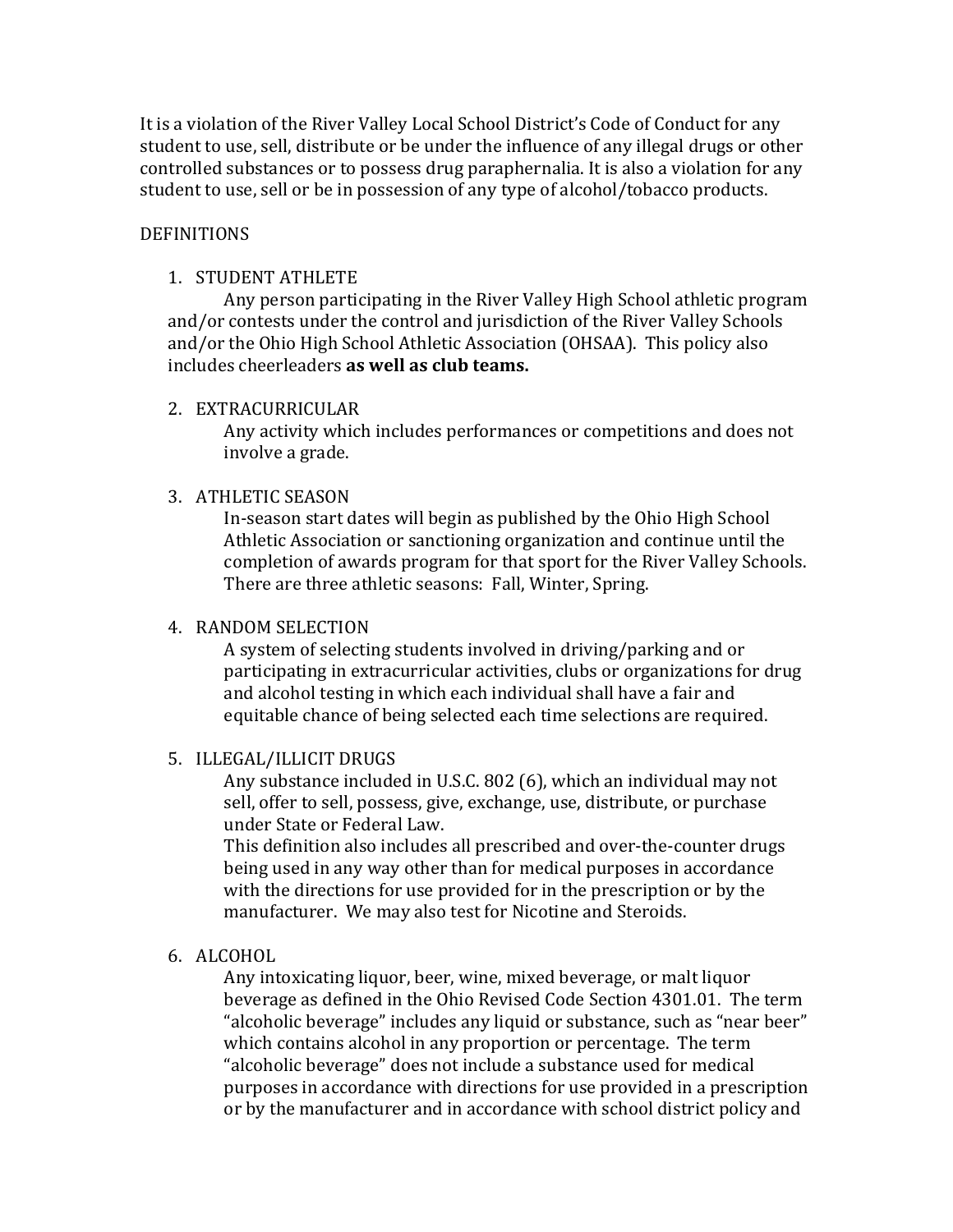It is a violation of the River Valley Local School District's Code of Conduct for any student to use, sell, distribute or be under the influence of any illegal drugs or other controlled substances or to possess drug paraphernalia. It is also a violation for any student to use, sell or be in possession of any type of alcohol/tobacco products.

## DEFINITIONS

## 1. STUDENT ATHLETE

Any person participating in the River Valley High School athletic program and/or contests under the control and jurisdiction of the River Valley Schools and/or the Ohio High School Athletic Association (OHSAA). This policy also includes cheerleaders **as well as club teams.** 

## 2. EXTRACURRICULAR

Any activity which includes performances or competitions and does not involve a grade.

## 3. ATHLETIC SEASON

In-season start dates will begin as published by the Ohio High School Athletic Association or sanctioning organization and continue until the completion of awards program for that sport for the River Valley Schools. There are three athletic seasons: Fall, Winter, Spring.

## 4. RANDOM SELECTION

A system of selecting students involved in driving/parking and or participating in extracurricular activities, clubs or organizations for drug and alcohol testing in which each individual shall have a fair and equitable chance of being selected each time selections are required.

## 5. ILLEGAL/ILLICIT DRUGS

Any substance included in U.S.C. 802 (6), which an individual may not sell, offer to sell, possess, give, exchange, use, distribute, or purchase under State or Federal Law.

This definition also includes all prescribed and over-the-counter drugs being used in any way other than for medical purposes in accordance with the directions for use provided for in the prescription or by the manufacturer. We may also test for Nicotine and Steroids.

## 6. ALCOHOL

Any intoxicating liquor, beer, wine, mixed beverage, or malt liquor beverage as defined in the Ohio Revised Code Section 4301.01. The term "alcoholic beverage" includes any liquid or substance, such as "near beer" which contains alcohol in any proportion or percentage. The term "alcoholic beverage" does not include a substance used for medical purposes in accordance with directions for use provided in a prescription or by the manufacturer and in accordance with school district policy and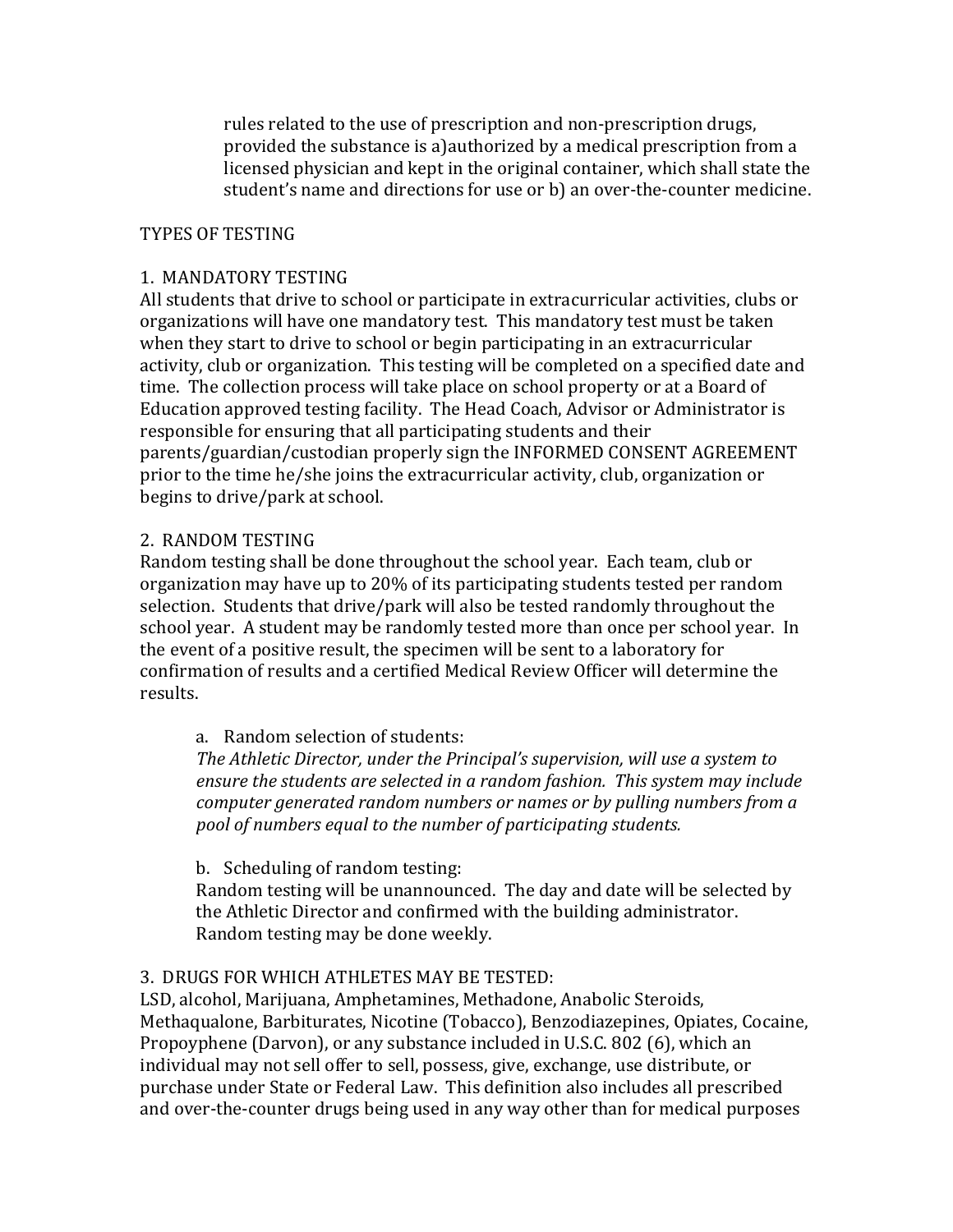rules related to the use of prescription and non-prescription drugs, provided the substance is a)authorized by a medical prescription from a licensed physician and kept in the original container, which shall state the student's name and directions for use or b) an over-the-counter medicine.

## TYPES OF TESTING

## 1. MANDATORY TESTING

All students that drive to school or participate in extracurricular activities, clubs or organizations will have one mandatory test. This mandatory test must be taken when they start to drive to school or begin participating in an extracurricular activity, club or organization. This testing will be completed on a specified date and time. The collection process will take place on school property or at a Board of Education approved testing facility. The Head Coach, Advisor or Administrator is responsible for ensuring that all participating students and their parents/guardian/custodian properly sign the INFORMED CONSENT AGREEMENT prior to the time he/she joins the extracurricular activity, club, organization or begins to drive/park at school.

## 2. RANDOM TESTING

Random testing shall be done throughout the school year. Each team, club or organization may have up to 20% of its participating students tested per random selection. Students that drive/park will also be tested randomly throughout the school year. A student may be randomly tested more than once per school year. In the event of a positive result, the specimen will be sent to a laboratory for confirmation of results and a certified Medical Review Officer will determine the results.

## a. Random selection of students:

*The Athletic Director, under the Principal's supervision, will use a system to* ensure the students are selected in a random fashion. This system may include *computer generated random numbers or names or by pulling numbers from a pool of numbers equal to the number of participating students.*

## b. Scheduling of random testing:

Random testing will be unannounced. The day and date will be selected by the Athletic Director and confirmed with the building administrator. Random testing may be done weekly.

## 3. DRUGS FOR WHICH ATHLETES MAY BE TESTED:

LSD, alcohol, Marijuana, Amphetamines, Methadone, Anabolic Steroids, Methaqualone, Barbiturates, Nicotine (Tobacco), Benzodiazepines, Opiates, Cocaine, Propoyphene (Darvon), or any substance included in U.S.C. 802 (6), which an individual may not sell offer to sell, possess, give, exchange, use distribute, or purchase under State or Federal Law. This definition also includes all prescribed and over-the-counter drugs being used in any way other than for medical purposes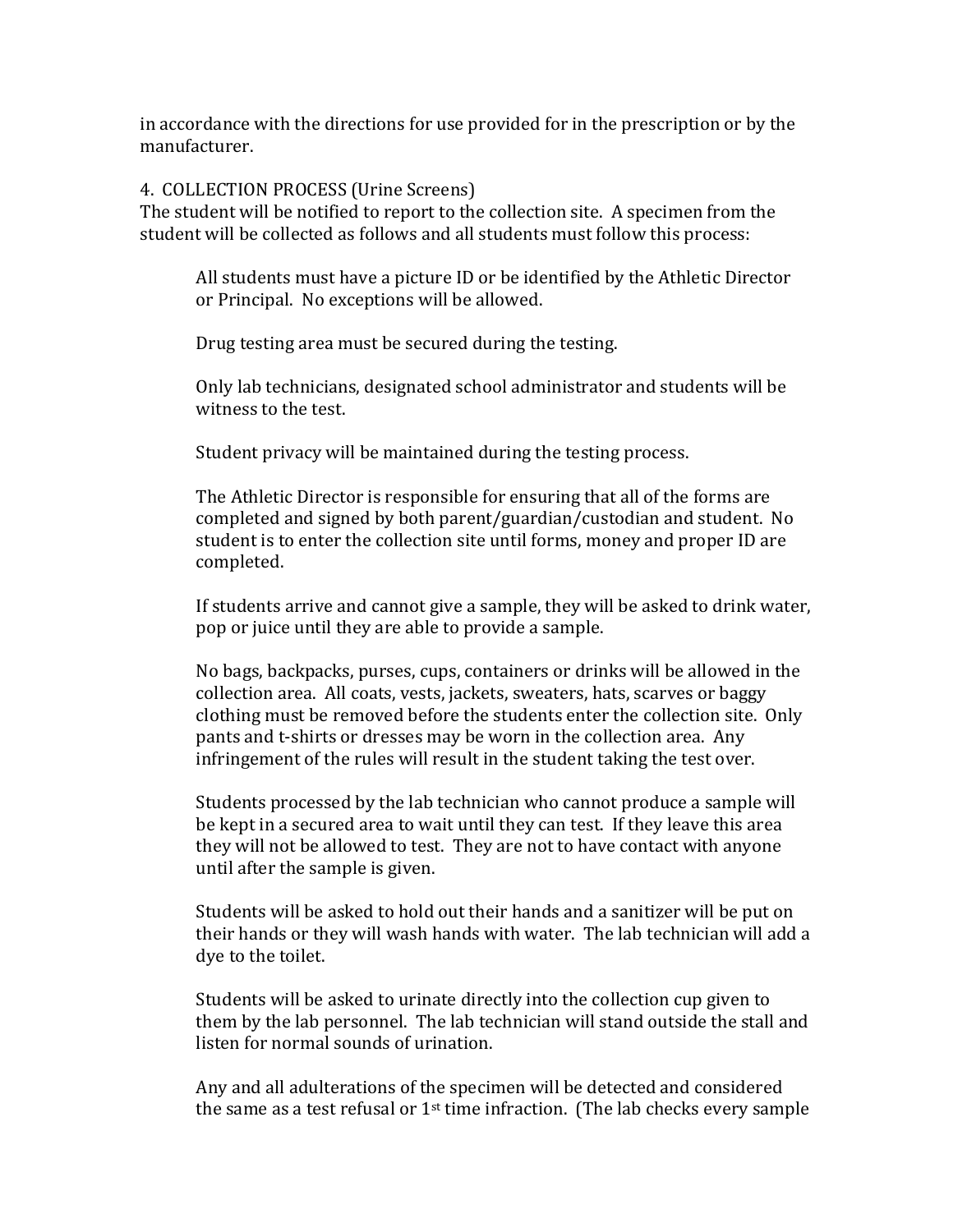in accordance with the directions for use provided for in the prescription or by the manufacturer.

4. COLLECTION PROCESS (Urine Screens)

The student will be notified to report to the collection site. A specimen from the student will be collected as follows and all students must follow this process:

All students must have a picture ID or be identified by the Athletic Director or Principal. No exceptions will be allowed.

Drug testing area must be secured during the testing.

Only lab technicians, designated school administrator and students will be witness to the test.

Student privacy will be maintained during the testing process.

The Athletic Director is responsible for ensuring that all of the forms are completed and signed by both parent/guardian/custodian and student. No student is to enter the collection site until forms, money and proper ID are completed.

If students arrive and cannot give a sample, they will be asked to drink water, pop or juice until they are able to provide a sample.

No bags, backpacks, purses, cups, containers or drinks will be allowed in the collection area. All coats, vests, jackets, sweaters, hats, scarves or baggy clothing must be removed before the students enter the collection site. Only pants and t-shirts or dresses may be worn in the collection area. Any infringement of the rules will result in the student taking the test over.

Students processed by the lab technician who cannot produce a sample will be kept in a secured area to wait until they can test. If they leave this area they will not be allowed to test. They are not to have contact with anyone until after the sample is given.

Students will be asked to hold out their hands and a sanitizer will be put on their hands or they will wash hands with water. The lab technician will add a dye to the toilet.

Students will be asked to urinate directly into the collection cup given to them by the lab personnel. The lab technician will stand outside the stall and listen for normal sounds of urination.

Any and all adulterations of the specimen will be detected and considered the same as a test refusal or  $1^{st}$  time infraction. (The lab checks every sample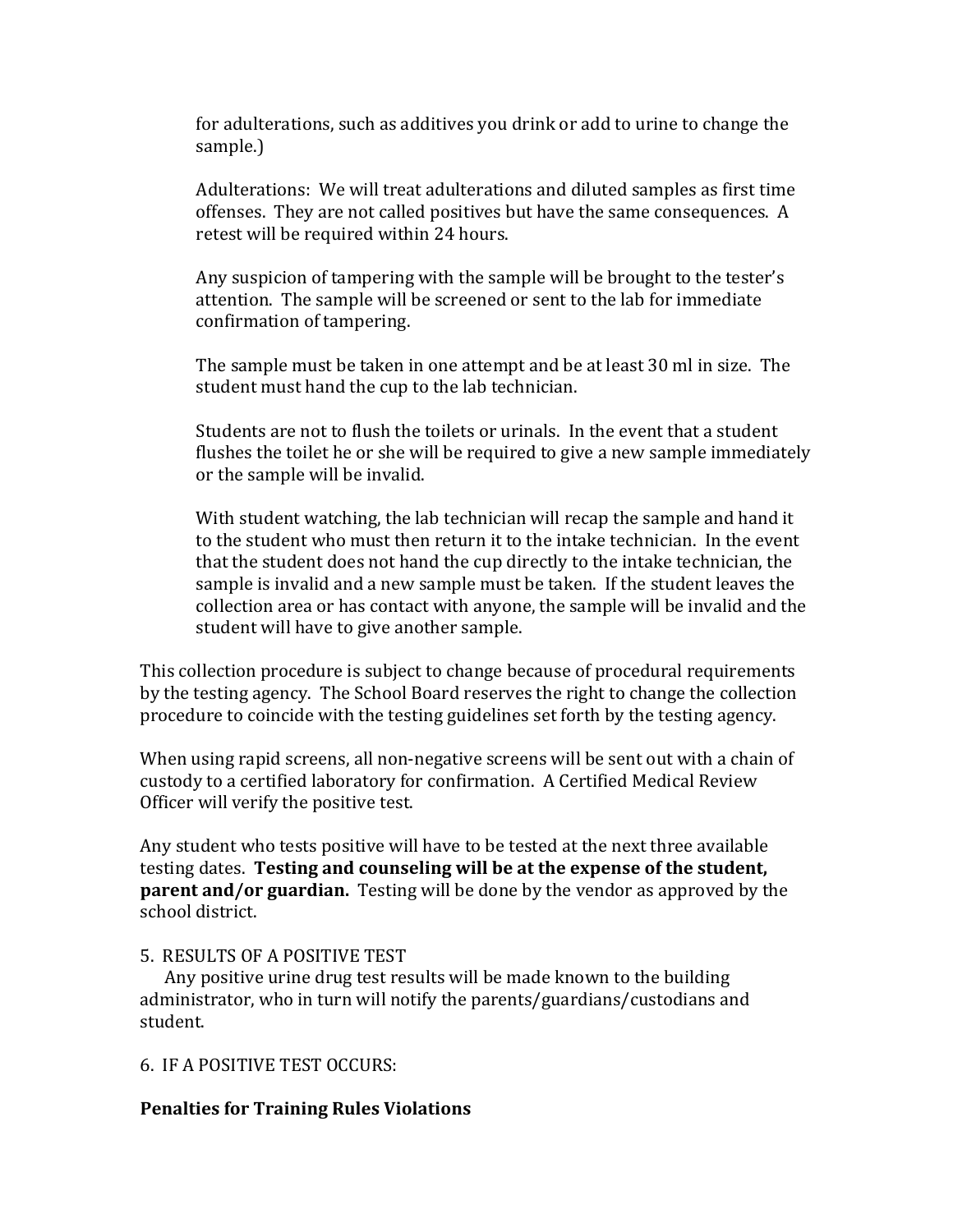for adulterations, such as additives you drink or add to urine to change the sample.)

Adulterations: We will treat adulterations and diluted samples as first time offenses. They are not called positives but have the same consequences. A retest will be required within 24 hours.

Any suspicion of tampering with the sample will be brought to the tester's attention. The sample will be screened or sent to the lab for immediate confirmation of tampering.

The sample must be taken in one attempt and be at least 30 ml in size. The student must hand the cup to the lab technician.

Students are not to flush the toilets or urinals. In the event that a student flushes the toilet he or she will be required to give a new sample immediately or the sample will be invalid.

With student watching, the lab technician will recap the sample and hand it to the student who must then return it to the intake technician. In the event that the student does not hand the cup directly to the intake technician, the sample is invalid and a new sample must be taken. If the student leaves the collection area or has contact with anyone, the sample will be invalid and the student will have to give another sample.

This collection procedure is subject to change because of procedural requirements by the testing agency. The School Board reserves the right to change the collection procedure to coincide with the testing guidelines set forth by the testing agency.

When using rapid screens, all non-negative screens will be sent out with a chain of custody to a certified laboratory for confirmation. A Certified Medical Review Officer will verify the positive test.

Any student who tests positive will have to be tested at the next three available testing dates. Testing and counseling will be at the expense of the student, **parent and/or guardian.** Testing will be done by the vendor as approved by the school district.

## 5. RESULTS OF A POSITIVE TEST

Any positive urine drug test results will be made known to the building administrator, who in turn will notify the parents/guardians/custodians and student.

## 6. IF A POSITIVE TEST OCCURS:

## **Penalties for Training Rules Violations**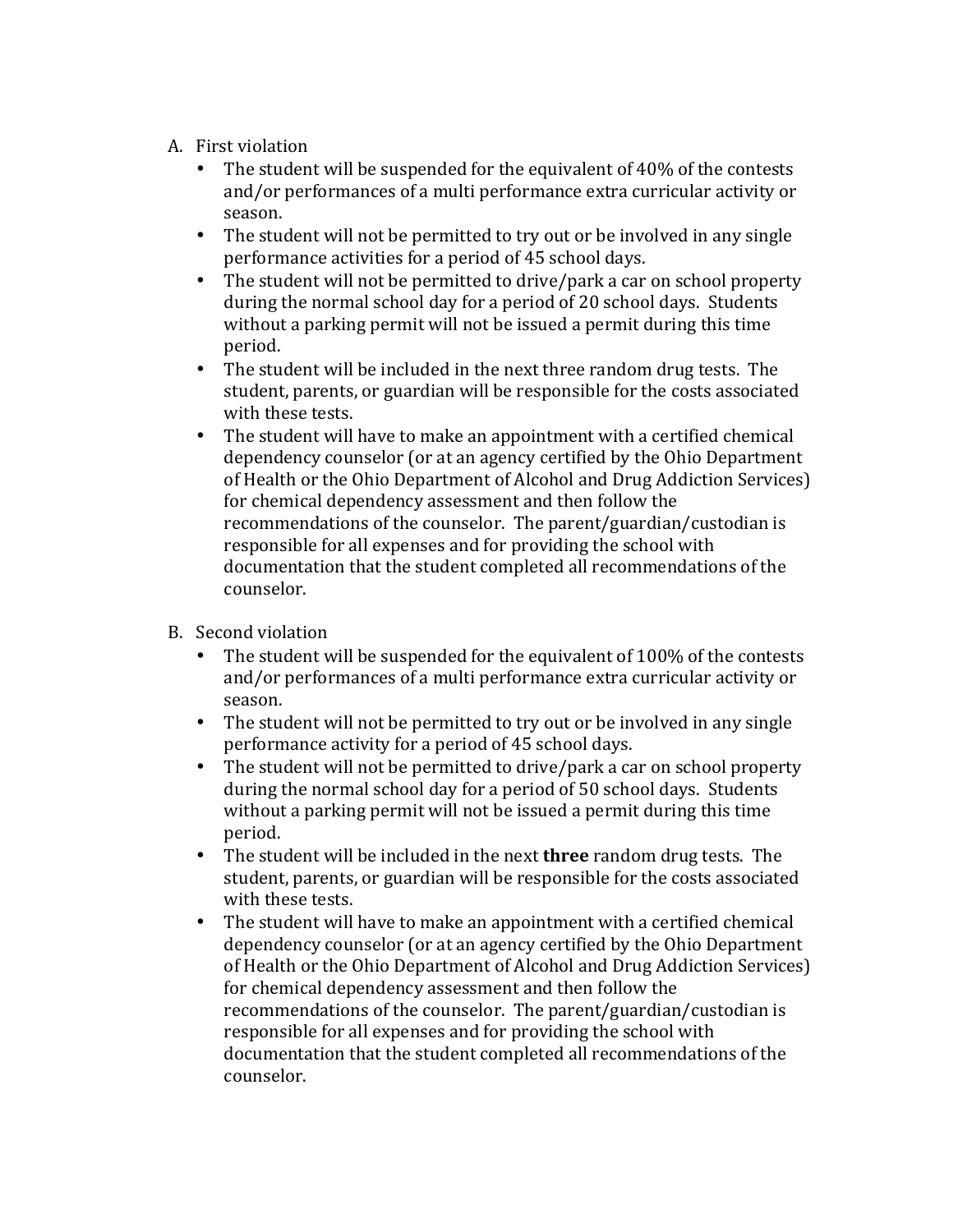- A. First violation
	- The student will be suspended for the equivalent of  $40\%$  of the contests and/or performances of a multi performance extra curricular activity or season.
	- The student will not be permitted to try out or be involved in any single performance activities for a period of 45 school days.
	- The student will not be permitted to drive/park a car on school property during the normal school day for a period of 20 school days. Students without a parking permit will not be issued a permit during this time period.
	- The student will be included in the next three random drug tests. The student, parents, or guardian will be responsible for the costs associated with these tests.
	- The student will have to make an appointment with a certified chemical dependency counselor (or at an agency certified by the Ohio Department of Health or the Ohio Department of Alcohol and Drug Addiction Services) for chemical dependency assessment and then follow the recommendations of the counselor. The parent/guardian/custodian is responsible for all expenses and for providing the school with documentation that the student completed all recommendations of the counselor.
- B. Second violation
	- The student will be suspended for the equivalent of 100% of the contests and/or performances of a multi performance extra curricular activity or season.
	- The student will not be permitted to try out or be involved in any single performance activity for a period of 45 school days.
	- The student will not be permitted to drive/park a car on school property during the normal school day for a period of 50 school days. Students without a parking permit will not be issued a permit during this time period.
	- The student will be included in the next **three** random drug tests. The student, parents, or guardian will be responsible for the costs associated with these tests.
	- The student will have to make an appointment with a certified chemical dependency counselor (or at an agency certified by the Ohio Department of Health or the Ohio Department of Alcohol and Drug Addiction Services) for chemical dependency assessment and then follow the recommendations of the counselor. The parent/guardian/custodian is responsible for all expenses and for providing the school with documentation that the student completed all recommendations of the counselor.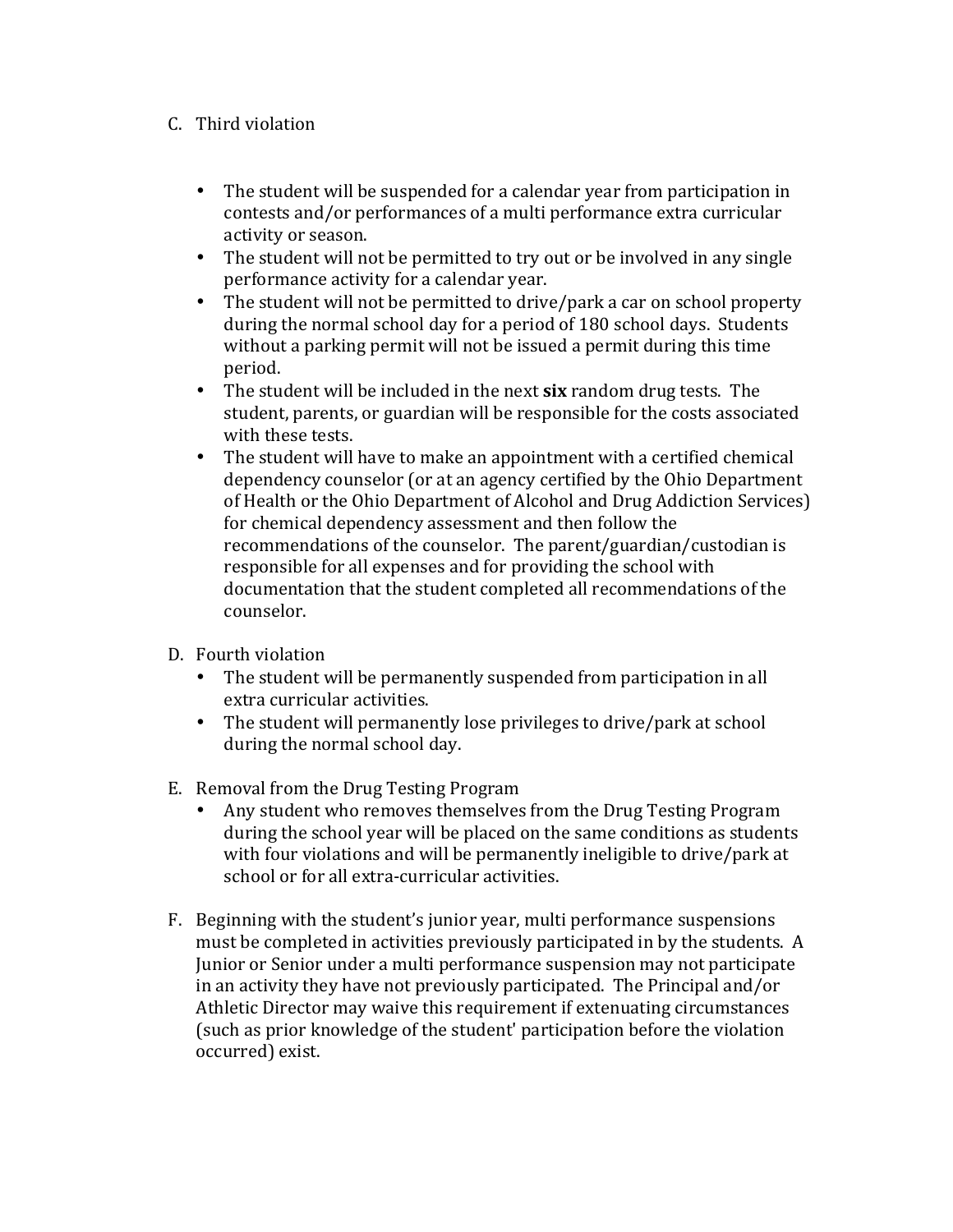## C. Third violation

- The student will be suspended for a calendar year from participation in contests and/or performances of a multi performance extra curricular activity or season.
- The student will not be permitted to try out or be involved in any single performance activity for a calendar year.
- The student will not be permitted to drive/park a car on school property during the normal school day for a period of 180 school days. Students without a parking permit will not be issued a permit during this time period.
- The student will be included in the next six random drug tests. The student, parents, or guardian will be responsible for the costs associated with these tests.
- The student will have to make an appointment with a certified chemical dependency counselor (or at an agency certified by the Ohio Department of Health or the Ohio Department of Alcohol and Drug Addiction Services) for chemical dependency assessment and then follow the recommendations of the counselor. The parent/guardian/custodian is responsible for all expenses and for providing the school with documentation that the student completed all recommendations of the counselor.
- D. Fourth violation
	- The student will be permanently suspended from participation in all extra curricular activities.
	- The student will permanently lose privileges to drive/park at school during the normal school day.
- E. Removal from the Drug Testing Program
	- Any student who removes themselves from the Drug Testing Program during the school year will be placed on the same conditions as students with four violations and will be permanently ineligible to drive/park at school or for all extra-curricular activities.
- F. Beginning with the student's junior year, multi performance suspensions must be completed in activities previously participated in by the students. A Junior or Senior under a multi performance suspension may not participate in an activity they have not previously participated. The Principal and/or Athletic Director may waive this requirement if extenuating circumstances (such as prior knowledge of the student' participation before the violation occurred) exist.